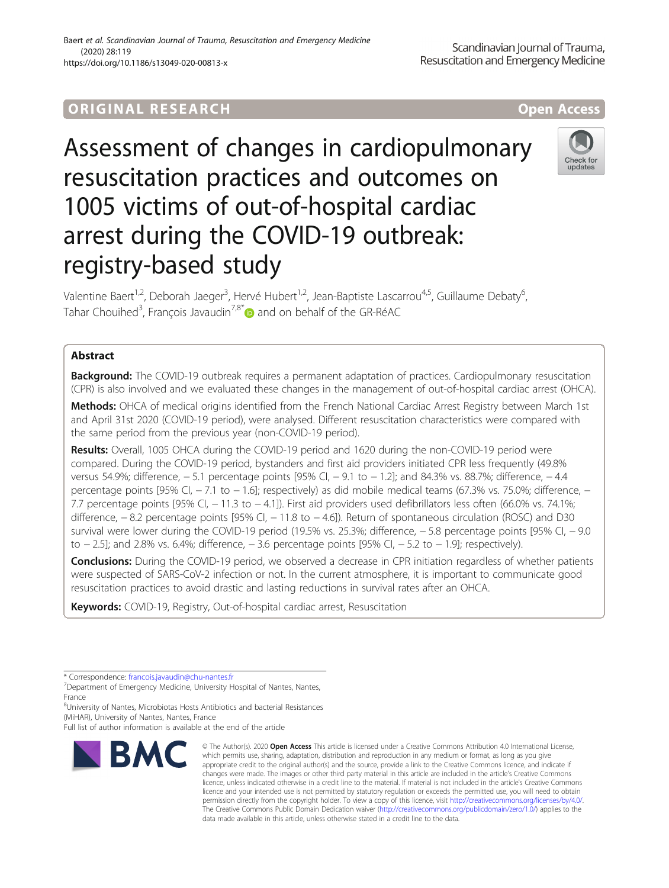# ORIGINA L R E S EA RCH Open Access

Assessment of changes in cardiopulmonary resuscitation practices and outcomes on 1005 victims of out-of-hospital cardiac arrest during the COVID-19 outbreak: registry-based study

Valentine Baert<sup>1,2</sup>, Deborah Jaeger<sup>3</sup>, Hervé Hubert<sup>1,2</sup>, Jean-Baptiste Lascarrou<sup>4,5</sup>, Guillaume Debaty<sup>6</sup> י<br>, Tahar Chouihed<sup>3</sup>, François Javaudin<sup>7,8\*</sup> and on behalf of the GR-RéAC

# Abstract

**Background:** The COVID-19 outbreak requires a permanent adaptation of practices. Cardiopulmonary resuscitation (CPR) is also involved and we evaluated these changes in the management of out-of-hospital cardiac arrest (OHCA).

Methods: OHCA of medical origins identified from the French National Cardiac Arrest Registry between March 1st and April 31st 2020 (COVID-19 period), were analysed. Different resuscitation characteristics were compared with the same period from the previous year (non-COVID-19 period).

Results: Overall, 1005 OHCA during the COVID-19 period and 1620 during the non-COVID-19 period were compared. During the COVID-19 period, bystanders and first aid providers initiated CPR less frequently (49.8% versus 54.9%; difference, -5.1 percentage points [95% CI, -9.1 to -1.2]; and 84.3% vs. 88.7%; difference, -4.4 percentage points [95% CI, -7.1 to -1.6]; respectively) as did mobile medical teams (67.3% vs. 75.0%; difference, -7.7 percentage points [95% CI, − 11.3 to − 4.1]). First aid providers used defibrillators less often (66.0% vs. 74.1%; difference, − 8.2 percentage points [95% CI, − 11.8 to − 4.6]). Return of spontaneous circulation (ROSC) and D30 survival were lower during the COVID-19 period (19.5% vs. 25.3%; difference, -5.8 percentage points [95% CI, -9.0 to − 2.5]; and 2.8% vs. 6.4%; difference, − 3.6 percentage points [95% CI, − 5.2 to − 1.9]; respectively).

**Conclusions:** During the COVID-19 period, we observed a decrease in CPR initiation regardless of whether patients were suspected of SARS-CoV-2 infection or not. In the current atmosphere, it is important to communicate good resuscitation practices to avoid drastic and lasting reductions in survival rates after an OHCA.

Keywords: COVID-19, Registry, Out-of-hospital cardiac arrest, Resuscitation

**BMC** 

<sup>8</sup>University of Nantes, Microbiotas Hosts Antibiotics and bacterial Resistances (MiHAR), University of Nantes, Nantes, France

© The Author(s), 2020 **Open Access** This article is licensed under a Creative Commons Attribution 4.0 International License, which permits use, sharing, adaptation, distribution and reproduction in any medium or format, as long as you give appropriate credit to the original author(s) and the source, provide a link to the Creative Commons licence, and indicate if





<sup>\*</sup> Correspondence: [francois.javaudin@chu-nantes.fr](mailto:francois.javaudin@chu-nantes.fr) <sup>7</sup>

<sup>&</sup>lt;sup>7</sup>Department of Emergency Medicine, University Hospital of Nantes, Nantes, France

Full list of author information is available at the end of the article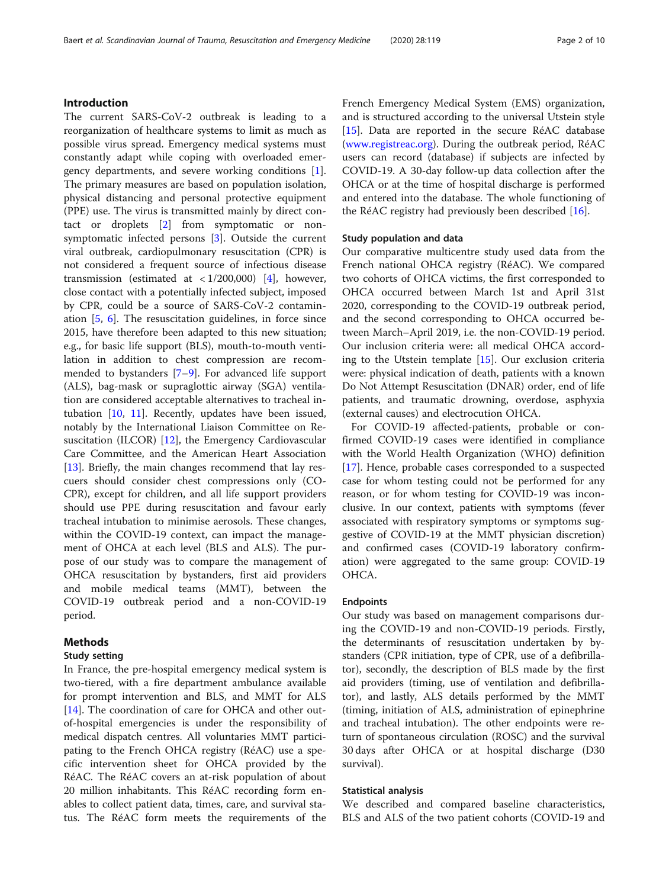# Introduction

The current SARS-CoV-2 outbreak is leading to a reorganization of healthcare systems to limit as much as possible virus spread. Emergency medical systems must constantly adapt while coping with overloaded emergency departments, and severe working conditions [\[1](#page-8-0)]. The primary measures are based on population isolation, physical distancing and personal protective equipment (PPE) use. The virus is transmitted mainly by direct contact or droplets [[2\]](#page-8-0) from symptomatic or nonsymptomatic infected persons [[3\]](#page-8-0). Outside the current viral outbreak, cardiopulmonary resuscitation (CPR) is not considered a frequent source of infectious disease transmission (estimated at  $\langle 1/200,000 \rangle$  [[4](#page-8-0)], however, close contact with a potentially infected subject, imposed by CPR, could be a source of SARS-CoV-2 contamination [[5,](#page-8-0) [6\]](#page-8-0). The resuscitation guidelines, in force since 2015, have therefore been adapted to this new situation; e.g., for basic life support (BLS), mouth-to-mouth ventilation in addition to chest compression are recommended to bystanders [[7](#page-8-0)–[9\]](#page-8-0). For advanced life support (ALS), bag-mask or supraglottic airway (SGA) ventilation are considered acceptable alternatives to tracheal intubation [\[10](#page-8-0), [11](#page-8-0)]. Recently, updates have been issued, notably by the International Liaison Committee on Resuscitation (ILCOR) [\[12\]](#page-8-0), the Emergency Cardiovascular Care Committee, and the American Heart Association [[13\]](#page-8-0). Briefly, the main changes recommend that lay rescuers should consider chest compressions only (CO-CPR), except for children, and all life support providers should use PPE during resuscitation and favour early tracheal intubation to minimise aerosols. These changes, within the COVID-19 context, can impact the management of OHCA at each level (BLS and ALS). The purpose of our study was to compare the management of OHCA resuscitation by bystanders, first aid providers and mobile medical teams (MMT), between the COVID-19 outbreak period and a non-COVID-19 period.

# Methods

# Study setting

In France, the pre-hospital emergency medical system is two-tiered, with a fire department ambulance available for prompt intervention and BLS, and MMT for ALS [[14\]](#page-8-0). The coordination of care for OHCA and other outof-hospital emergencies is under the responsibility of medical dispatch centres. All voluntaries MMT participating to the French OHCA registry (RéAC) use a specific intervention sheet for OHCA provided by the RéAC. The RéAC covers an at-risk population of about 20 million inhabitants. This RéAC recording form enables to collect patient data, times, care, and survival status. The RéAC form meets the requirements of the French Emergency Medical System (EMS) organization, and is structured according to the universal Utstein style [[15\]](#page-8-0). Data are reported in the secure RéAC database ([www.registreac.org](http://www.registreac.org)). During the outbreak period, RéAC users can record (database) if subjects are infected by COVID-19. A 30-day follow-up data collection after the OHCA or at the time of hospital discharge is performed and entered into the database. The whole functioning of the RéAC registry had previously been described [\[16](#page-8-0)].

# Study population and data

Our comparative multicentre study used data from the French national OHCA registry (RéAC). We compared two cohorts of OHCA victims, the first corresponded to OHCA occurred between March 1st and April 31st 2020, corresponding to the COVID-19 outbreak period, and the second corresponding to OHCA occurred between March–April 2019, i.e. the non-COVID-19 period. Our inclusion criteria were: all medical OHCA according to the Utstein template [\[15](#page-8-0)]. Our exclusion criteria were: physical indication of death, patients with a known Do Not Attempt Resuscitation (DNAR) order, end of life patients, and traumatic drowning, overdose, asphyxia (external causes) and electrocution OHCA.

For COVID-19 affected-patients, probable or confirmed COVID-19 cases were identified in compliance with the World Health Organization (WHO) definition [[17\]](#page-8-0). Hence, probable cases corresponded to a suspected case for whom testing could not be performed for any reason, or for whom testing for COVID-19 was inconclusive. In our context, patients with symptoms (fever associated with respiratory symptoms or symptoms suggestive of COVID-19 at the MMT physician discretion) and confirmed cases (COVID-19 laboratory confirmation) were aggregated to the same group: COVID-19 OHCA.

# Endpoints

Our study was based on management comparisons during the COVID-19 and non-COVID-19 periods. Firstly, the determinants of resuscitation undertaken by bystanders (CPR initiation, type of CPR, use of a defibrillator), secondly, the description of BLS made by the first aid providers (timing, use of ventilation and defibrillator), and lastly, ALS details performed by the MMT (timing, initiation of ALS, administration of epinephrine and tracheal intubation). The other endpoints were return of spontaneous circulation (ROSC) and the survival 30 days after OHCA or at hospital discharge (D30 survival).

# Statistical analysis

We described and compared baseline characteristics, BLS and ALS of the two patient cohorts (COVID-19 and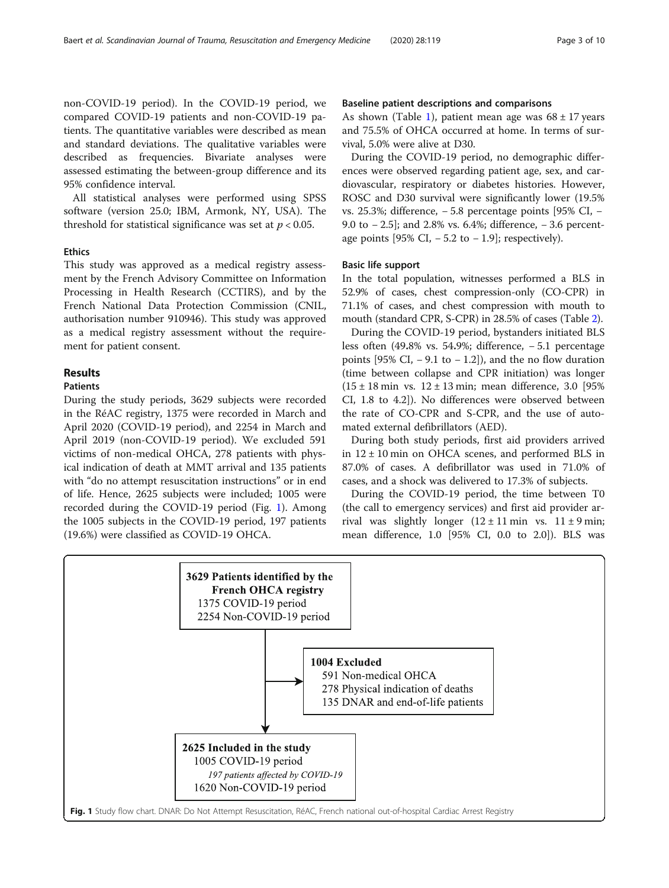non-COVID-19 period). In the COVID-19 period, we compared COVID-19 patients and non-COVID-19 patients. The quantitative variables were described as mean and standard deviations. The qualitative variables were described as frequencies. Bivariate analyses were assessed estimating the between-group difference and its 95% confidence interval.

All statistical analyses were performed using SPSS software (version 25.0; IBM, Armonk, NY, USA). The threshold for statistical significance was set at  $p < 0.05$ .

# Ethics

This study was approved as a medical registry assessment by the French Advisory Committee on Information Processing in Health Research (CCTIRS), and by the French National Data Protection Commission (CNIL, authorisation number 910946). This study was approved as a medical registry assessment without the requirement for patient consent.

# Results

# Patients

During the study periods, 3629 subjects were recorded in the RéAC registry, 1375 were recorded in March and April 2020 (COVID-19 period), and 2254 in March and April 2019 (non-COVID-19 period). We excluded 591 victims of non-medical OHCA, 278 patients with physical indication of death at MMT arrival and 135 patients with "do no attempt resuscitation instructions" or in end of life. Hence, 2625 subjects were included; 1005 were recorded during the COVID-19 period (Fig. 1). Among the 1005 subjects in the COVID-19 period, 197 patients (19.6%) were classified as COVID-19 OHCA.

#### Baseline patient descriptions and comparisons

As shown (Table [1\)](#page-3-0), patient mean age was  $68 \pm 17$  years and 75.5% of OHCA occurred at home. In terms of survival, 5.0% were alive at D30.

During the COVID-19 period, no demographic differences were observed regarding patient age, sex, and cardiovascular, respiratory or diabetes histories. However, ROSC and D30 survival were significantly lower (19.5% vs. 25.3%; difference, − 5.8 percentage points [95% CI, − 9.0 to −2.5]; and 2.8% vs. 6.4%; difference, −3.6 percentage points [95% CI,  $-5.2$  to  $-1.9$ ]; respectively).

# Basic life support

In the total population, witnesses performed a BLS in 52.9% of cases, chest compression-only (CO-CPR) in 71.1% of cases, and chest compression with mouth to mouth (standard CPR, S-CPR) in 28.5% of cases (Table [2\)](#page-3-0).

During the COVID-19 period, bystanders initiated BLS less often (49.8% vs. 54.9%; difference, − 5.1 percentage points [95% CI,  $-9.1$  to  $-1.2$ ]), and the no flow duration (time between collapse and CPR initiation) was longer  $(15 \pm 18 \text{ min} \text{ vs. } 12 \pm 13 \text{ min}; \text{ mean difference}, 3.0)$  [95%] CI, 1.8 to 4.2]). No differences were observed between the rate of CO-CPR and S-CPR, and the use of automated external defibrillators (AED).

During both study periods, first aid providers arrived in 12 ± 10 min on OHCA scenes, and performed BLS in 87.0% of cases. A defibrillator was used in 71.0% of cases, and a shock was delivered to 17.3% of subjects.

During the COVID-19 period, the time between T0 (the call to emergency services) and first aid provider arrival was slightly longer  $(12 \pm 11 \text{ min}$  vs.  $11 \pm 9 \text{ min}$ ; mean difference, 1.0 [95% CI, 0.0 to 2.0]). BLS was

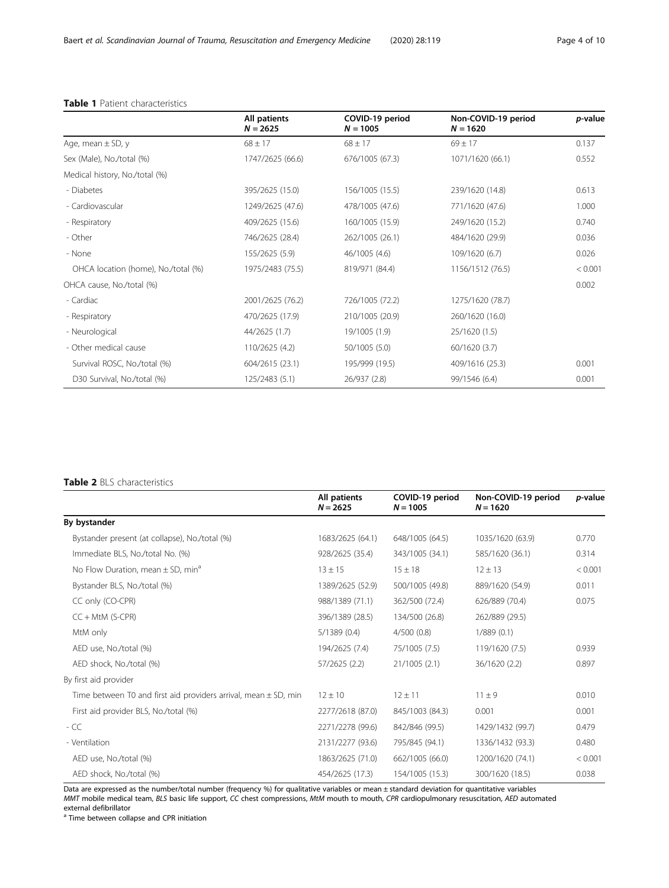# <span id="page-3-0"></span>Table 1 Patient characteristics

|                                     | All patients<br>$N = 2625$ | COVID-19 period<br>$N = 1005$ | Non-COVID-19 period<br>$N = 1620$ | p-value |
|-------------------------------------|----------------------------|-------------------------------|-----------------------------------|---------|
| Age, mean $\pm$ SD, y               | $68 \pm 17$                | $68 \pm 17$                   | $69 \pm 17$                       | 0.137   |
| Sex (Male), No./total (%)           | 1747/2625 (66.6)           | 676/1005 (67.3)               | 1071/1620 (66.1)                  | 0.552   |
| Medical history, No./total (%)      |                            |                               |                                   |         |
| - Diabetes                          | 395/2625 (15.0)            | 156/1005 (15.5)               | 239/1620 (14.8)                   | 0.613   |
| - Cardiovascular                    | 1249/2625 (47.6)           | 478/1005 (47.6)               | 771/1620 (47.6)                   | 1.000   |
| - Respiratory                       | 409/2625 (15.6)            | 160/1005 (15.9)               | 249/1620 (15.2)                   | 0.740   |
| - Other                             | 746/2625 (28.4)            | 262/1005 (26.1)               | 484/1620 (29.9)                   | 0.036   |
| - None                              | 155/2625 (5.9)             | 46/1005 (4.6)                 | 109/1620 (6.7)                    | 0.026   |
| OHCA location (home), No./total (%) | 1975/2483 (75.5)           | 819/971 (84.4)                | 1156/1512 (76.5)                  | < 0.001 |
| OHCA cause, No./total (%)           |                            |                               |                                   | 0.002   |
| - Cardiac                           | 2001/2625 (76.2)           | 726/1005 (72.2)               | 1275/1620 (78.7)                  |         |
| - Respiratory                       | 470/2625 (17.9)            | 210/1005 (20.9)               | 260/1620 (16.0)                   |         |
| - Neurological                      | 44/2625 (1.7)              | 19/1005 (1.9)                 | 25/1620 (1.5)                     |         |
| - Other medical cause               | 110/2625 (4.2)             | 50/1005 (5.0)                 | 60/1620 (3.7)                     |         |
| Survival ROSC, No./total (%)        | 604/2615 (23.1)            | 195/999 (19.5)                | 409/1616 (25.3)                   | 0.001   |
| D30 Survival, No./total (%)         | 125/2483 (5.1)             | 26/937 (2.8)                  | 99/1546 (6.4)                     | 0.001   |

# Table 2 BLS characteristics

|                                                                     | All patients<br>$N = 2625$ | COVID-19 period<br>$N = 1005$ | Non-COVID-19 period<br>$N = 1620$ | <i>p</i> -value |
|---------------------------------------------------------------------|----------------------------|-------------------------------|-----------------------------------|-----------------|
| By bystander                                                        |                            |                               |                                   |                 |
| Bystander present (at collapse), No./total (%)                      | 1683/2625 (64.1)           | 648/1005 (64.5)               | 1035/1620 (63.9)                  | 0.770           |
| Immediate BLS, No./total No. (%)                                    | 928/2625 (35.4)            | 343/1005 (34.1)               | 585/1620 (36.1)                   | 0.314           |
| No Flow Duration, mean $\pm$ SD, min <sup>a</sup>                   | $13 \pm 15$                | $15 \pm 18$                   | $12 \pm 13$                       | < 0.001         |
| Bystander BLS, No./total (%)                                        | 1389/2625 (52.9)           | 500/1005 (49.8)               | 889/1620 (54.9)                   | 0.011           |
| CC only (CO-CPR)                                                    | 988/1389 (71.1)            | 362/500 (72.4)                | 626/889 (70.4)                    | 0.075           |
| $CC + MtM$ (S-CPR)                                                  | 396/1389 (28.5)            | 134/500 (26.8)                | 262/889 (29.5)                    |                 |
| MtM only                                                            | 5/1389(0.4)                | 4/500(0.8)                    | 1/889(0.1)                        |                 |
| AED use, No./total (%)                                              | 194/2625 (7.4)             | 75/1005 (7.5)                 | 119/1620 (7.5)                    | 0.939           |
| AED shock, No./total (%)                                            | 57/2625 (2.2)              | 21/1005(2.1)                  | 36/1620 (2.2)                     | 0.897           |
| By first aid provider                                               |                            |                               |                                   |                 |
| Time between T0 and first aid providers arrival, mean $\pm$ SD, min | $12 \pm 10$                | $12 \pm 11$                   | $11 \pm 9$                        | 0.010           |
| First aid provider BLS, No./total (%)                               | 2277/2618 (87.0)           | 845/1003 (84.3)               | 0.001                             | 0.001           |
| $-CC$                                                               | 2271/2278 (99.6)           | 842/846 (99.5)                | 1429/1432 (99.7)                  | 0.479           |
| - Ventilation                                                       | 2131/2277 (93.6)           | 795/845 (94.1)                | 1336/1432 (93.3)                  | 0.480           |
| AED use, No./total (%)                                              | 1863/2625 (71.0)           | 662/1005 (66.0)               | 1200/1620 (74.1)                  | < 0.001         |
| AED shock, No./total (%)                                            | 454/2625 (17.3)            | 154/1005 (15.3)               | 300/1620 (18.5)                   | 0.038           |

Data are expressed as the number/total number (frequency %) for qualitative variables or mean ± standard deviation for quantitative variables MMT mobile medical team, BLS basic life support, CC chest compressions, MtM mouth to mouth, CPR cardiopulmonary resuscitation, AED automated external defibrillator

<sup>a</sup> Time between collapse and CPR initiation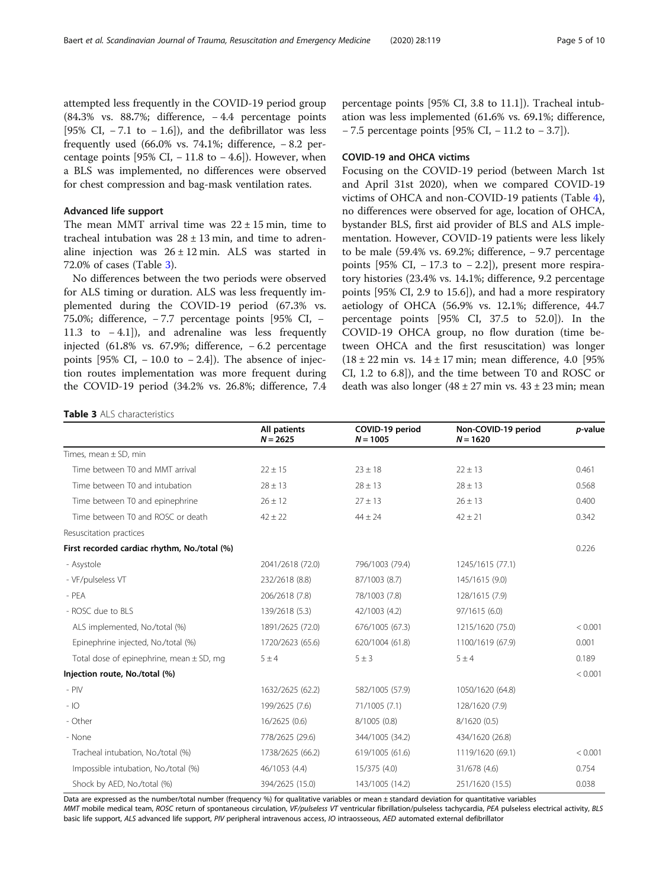attempted less frequently in the COVID-19 period group (84.3% vs. 88.7%; difference, − 4.4 percentage points [95% CI,  $-7.1$  to  $-1.6$ ]), and the defibrillator was less frequently used (66.0% vs. 74.1%; difference,  $-8.2$  percentage points [95% CI,  $-11.8$  to  $-4.6$ ]). However, when a BLS was implemented, no differences were observed for chest compression and bag-mask ventilation rates.

# Advanced life support

The mean MMT arrival time was  $22 \pm 15$  min, time to tracheal intubation was  $28 \pm 13$  min, and time to adrenaline injection was  $26 \pm 12$  min. ALS was started in 72.0% of cases (Table 3).

No differences between the two periods were observed for ALS timing or duration. ALS was less frequently implemented during the COVID-19 period (67.3% vs. 75.0%; difference, − 7.7 percentage points [95% CI, − 11.3 to − 4.1]), and adrenaline was less frequently injected (61.8% vs. 67.9%; difference, − 6.2 percentage points [95% CI,  $-10.0$  to  $-2.4$ ]). The absence of injection routes implementation was more frequent during the COVID-19 period (34.2% vs. 26.8%; difference, 7.4

percentage points [95% CI, 3.8 to 11.1]). Tracheal intubation was less implemented (61.6% vs. 69.1%; difference, − 7.5 percentage points [95% CI, − 11.2 to − 3.7]).

# COVID-19 and OHCA victims

Focusing on the COVID-19 period (between March 1st and April 31st 2020), when we compared COVID-19 victims of OHCA and non-COVID-19 patients (Table [4](#page-5-0)), no differences were observed for age, location of OHCA, bystander BLS, first aid provider of BLS and ALS implementation. However, COVID-19 patients were less likely to be male (59.4% vs. 69.2%; difference, − 9.7 percentage points [95% CI,  $-17.3$  to  $-2.2$ ]), present more respiratory histories (23.4% vs. 14.1%; difference, 9.2 percentage points [95% CI, 2.9 to 15.6]), and had a more respiratory aetiology of OHCA (56.9% vs. 12.1%; difference, 44.7 percentage points [95% CI, 37.5 to 52.0]). In the COVID-19 OHCA group, no flow duration (time between OHCA and the first resuscitation) was longer  $(18 \pm 22 \text{ min} \text{ vs. } 14 \pm 17 \text{ min}; \text{ mean difference, } 4.0 \text{ [95\%]}$ CI, 1.2 to 6.8]), and the time between T0 and ROSC or death was also longer  $(48 \pm 27 \text{ min} \text{ vs. } 43 \pm 23 \text{ min} \text{ ; mean})$ 

Table 3 ALS characteristics

|                                              | All patients<br>$N = 2625$ | COVID-19 period<br>$N = 1005$ | Non-COVID-19 period<br>$N = 1620$ | p-value |
|----------------------------------------------|----------------------------|-------------------------------|-----------------------------------|---------|
| Times, mean $\pm$ SD, min                    |                            |                               |                                   |         |
| Time between T0 and MMT arrival              | $22 \pm 15$                | $23 \pm 18$                   | $22 \pm 13$                       | 0.461   |
| Time between T0 and intubation               | $28 \pm 13$                | $28 \pm 13$                   | $28 \pm 13$                       | 0.568   |
| Time between T0 and epinephrine              | $26 \pm 12$                | $27 \pm 13$                   | $26 \pm 13$                       | 0.400   |
| Time between T0 and ROSC or death            | $42 \pm 22$                | $44 \pm 24$                   | $42 \pm 21$                       | 0.342   |
| Resuscitation practices                      |                            |                               |                                   |         |
| First recorded cardiac rhythm, No./total (%) |                            |                               |                                   | 0.226   |
| - Asystole                                   | 2041/2618 (72.0)           | 796/1003 (79.4)               | 1245/1615 (77.1)                  |         |
| - VF/pulseless VT                            | 232/2618 (8.8)             | 87/1003 (8.7)                 | 145/1615 (9.0)                    |         |
| $-$ PEA                                      | 206/2618 (7.8)             | 78/1003 (7.8)                 | 128/1615 (7.9)                    |         |
| - ROSC due to BLS                            | 139/2618 (5.3)             | 42/1003 (4.2)                 | 97/1615 (6.0)                     |         |
| ALS implemented, No./total (%)               | 1891/2625 (72.0)           | 676/1005 (67.3)               | 1215/1620 (75.0)                  | < 0.001 |
| Epinephrine injected, No./total (%)          | 1720/2623 (65.6)           | 620/1004 (61.8)               | 1100/1619 (67.9)                  | 0.001   |
| Total dose of epinephrine, mean $\pm$ SD, mg | 5±4                        | $5 \pm 3$                     | 5±4                               | 0.189   |
| Injection route, No./total (%)               |                            |                               |                                   | < 0.001 |
| $-$ PIV                                      | 1632/2625 (62.2)           | 582/1005 (57.9)               | 1050/1620 (64.8)                  |         |
| $-10$                                        | 199/2625 (7.6)             | 71/1005 (7.1)                 | 128/1620 (7.9)                    |         |
| - Other                                      | 16/2625(0.6)               | 8/1005 (0.8)                  | 8/1620(0.5)                       |         |
| - None                                       | 778/2625 (29.6)            | 344/1005 (34.2)               | 434/1620 (26.8)                   |         |
| Tracheal intubation, No./total (%)           | 1738/2625 (66.2)           | 619/1005 (61.6)               | 1119/1620 (69.1)                  | < 0.001 |
| Impossible intubation, No./total (%)         | 46/1053 (4.4)              | 15/375 (4.0)                  | 31/678 (4.6)                      | 0.754   |
| Shock by AED, No./total (%)                  | 394/2625 (15.0)            | 143/1005 (14.2)               | 251/1620 (15.5)                   | 0.038   |

Data are expressed as the number/total number (frequency %) for qualitative variables or mean ± standard deviation for quantitative variables MMT mobile medical team, ROSC return of spontaneous circulation, VF/pulseless VT ventricular fibrillation/pulseless tachycardia, PEA pulseless electrical activity, BLS basic life support, ALS advanced life support, PIV peripheral intravenous access, IO intraosseous, AED automated external defibrillator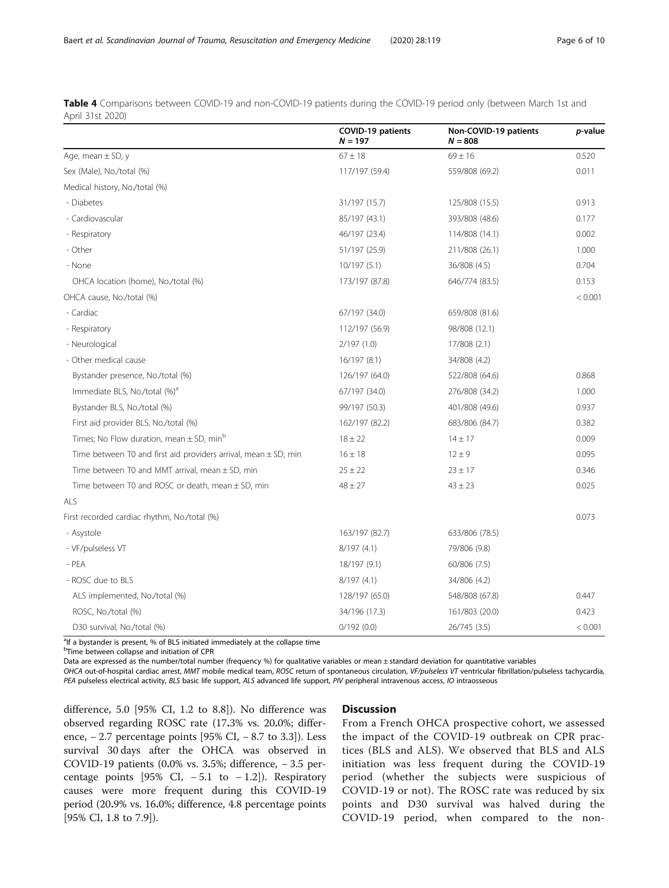<span id="page-5-0"></span>Table 4 Comparisons between COVID-19 and non-COVID-19 patients during the COVID-19 period only (between March 1st and April 31st 2020)

|                                                                     | <b>COVID-19 patients</b><br>$N = 197$ | Non-COVID-19 patients<br>$N = 808$ | <i>p</i> -value |
|---------------------------------------------------------------------|---------------------------------------|------------------------------------|-----------------|
| Age, mean $\pm$ SD, y                                               | $67 \pm 18$                           | $69 \pm 16$                        | 0.520           |
| Sex (Male), No./total (%)                                           | 117/197 (59.4)                        | 559/808 (69.2)                     | 0.011           |
| Medical history, No./total (%)                                      |                                       |                                    |                 |
| - Diabetes                                                          | 31/197 (15.7)                         | 125/808 (15.5)                     | 0.913           |
| - Cardiovascular                                                    | 85/197 (43.1)                         | 393/808 (48.6)                     | 0.177           |
| - Respiratory                                                       | 46/197 (23.4)                         | 114/808 (14.1)                     | 0.002           |
| - Other                                                             | 51/197 (25.9)                         | 211/808 (26.1)                     | 1.000           |
| - None                                                              | 10/197(5.1)                           | 36/808 (4.5)                       | 0.704           |
| OHCA location (home), No./total (%)                                 | 173/197 (87.8)                        | 646/774 (83.5)                     | 0.153           |
| OHCA cause, No./total (%)                                           |                                       |                                    | < 0.001         |
| - Cardiac                                                           | 67/197 (34.0)                         | 659/808 (81.6)                     |                 |
| - Respiratory                                                       | 112/197 (56.9)                        | 98/808 (12.1)                      |                 |
| - Neurological                                                      | 2/197(1.0)                            | 17/808 (2.1)                       |                 |
| - Other medical cause                                               | 16/197 (8.1)                          | 34/808 (4.2)                       |                 |
| Bystander presence, No./total (%)                                   | 126/197 (64.0)                        | 522/808 (64.6)                     | 0.868           |
| Immediate BLS, No./total (%) <sup>a</sup>                           | 67/197 (34.0)                         | 276/808 (34.2)                     | 1.000           |
| Bystander BLS, No./total (%)                                        | 99/197 (50.3)                         | 401/808 (49.6)                     | 0.937           |
| First aid provider BLS, No./total (%)                               | 162/197 (82.2)                        | 683/806 (84.7)                     | 0.382           |
| Times; No Flow duration, mean $\pm$ SD, min <sup>b</sup>            | $18 \pm 22$                           | $14 \pm 17$                        | 0.009           |
| Time between T0 and first aid providers arrival, mean $\pm$ SD, min | $16 \pm 18$                           | $12 \pm 9$                         | 0.095           |
| Time between T0 and MMT arrival, mean ± SD, min                     | $25 \pm 22$                           | $23 \pm 17$                        | 0.346           |
| Time between T0 and ROSC or death, mean $\pm$ SD, min               | $48 \pm 27$                           | $43 \pm 23$                        | 0.025           |
| ALS                                                                 |                                       |                                    |                 |
| First recorded cardiac rhythm, No./total (%)                        |                                       |                                    | 0.073           |
| - Asystole                                                          | 163/197 (82.7)                        | 633/806 (78.5)                     |                 |
| - VF/pulseless VT                                                   | 8/197(4.1)                            | 79/806 (9.8)                       |                 |
| $-$ PEA                                                             | 18/197 (9.1)                          | 60/806 (7.5)                       |                 |
| - ROSC due to BLS                                                   | 8/197(4.1)                            | 34/806 (4.2)                       |                 |
| ALS implemented, No./total (%)                                      | 128/197 (65.0)                        | 548/808 (67.8)                     | 0.447           |
| ROSC, No./total (%)                                                 | 34/196 (17.3)                         | 161/803 (20.0)                     | 0.423           |
| D30 survival, No./total (%)                                         | 0/192(0.0)                            | 26/745 (3.5)                       | < 0.001         |

<sup>a</sup>lf a bystander is present, % of BLS initiated immediately at the collapse time

**<sup>b</sup>Time between collapse and initiation of CPR** 

Data are expressed as the number/total number (frequency %) for qualitative variables or mean ± standard deviation for quantitative variables

OHCA out-of-hospital cardiac arrest, MMT mobile medical team, ROSC return of spontaneous circulation, VF/pulseless VT ventricular fibrillation/pulseless tachycardia, PEA pulseless electrical activity, BLS basic life support, ALS advanced life support, PIV peripheral intravenous access, IO intraosseous

difference, 5.0 [95% CI, 1.2 to 8.8]). No difference was observed regarding ROSC rate (17.3% vs. 20.0%; difference, − 2.7 percentage points [95% CI, − 8.7 to 3.3]). Less survival 30 days after the OHCA was observed in COVID-19 patients (0.0% vs. 3.5%; difference, − 3.5 percentage points [95% CI,  $-5.1$  to  $-1.2$ ]). Respiratory causes were more frequent during this COVID-19 period (20.9% vs. 16.0%; difference, 4.8 percentage points [95% CI, 1.8 to 7.9]).

# **Discussion**

From a French OHCA prospective cohort, we assessed the impact of the COVID-19 outbreak on CPR practices (BLS and ALS). We observed that BLS and ALS initiation was less frequent during the COVID-19 period (whether the subjects were suspicious of COVID-19 or not). The ROSC rate was reduced by six points and D30 survival was halved during the COVID-19 period, when compared to the non-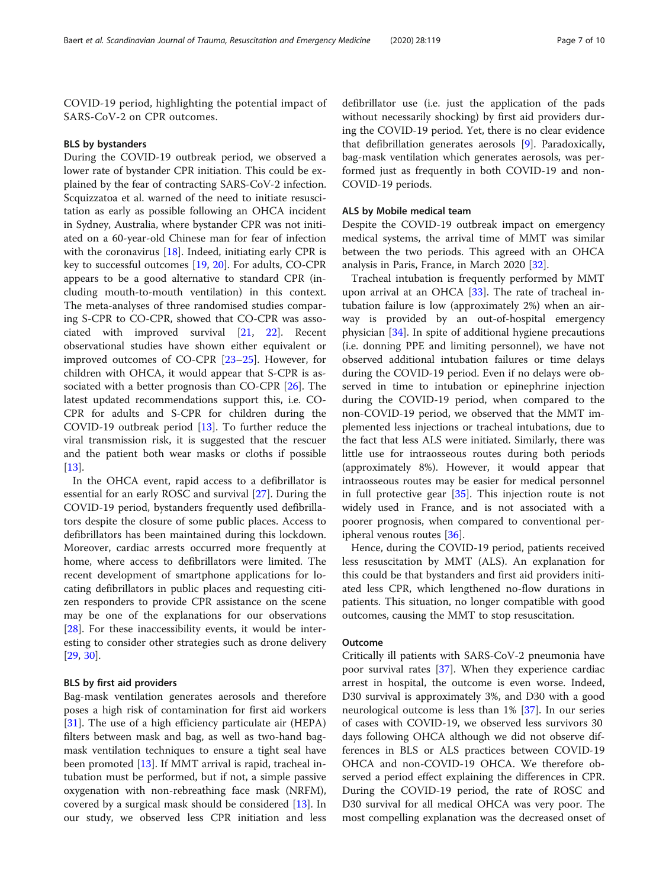COVID-19 period, highlighting the potential impact of SARS-CoV-2 on CPR outcomes.

#### BLS by bystanders

During the COVID-19 outbreak period, we observed a lower rate of bystander CPR initiation. This could be explained by the fear of contracting SARS-CoV-2 infection. Scquizzatoa et al. warned of the need to initiate resuscitation as early as possible following an OHCA incident in Sydney, Australia, where bystander CPR was not initiated on a 60-year-old Chinese man for fear of infection with the coronavirus [\[18](#page-8-0)]. Indeed, initiating early CPR is key to successful outcomes [\[19](#page-8-0), [20](#page-8-0)]. For adults, CO-CPR appears to be a good alternative to standard CPR (including mouth-to-mouth ventilation) in this context. The meta-analyses of three randomised studies comparing S-CPR to CO-CPR, showed that CO-CPR was associated with improved survival [\[21](#page-8-0), [22\]](#page-8-0). Recent observational studies have shown either equivalent or improved outcomes of CO-CPR [\[23](#page-8-0)–[25\]](#page-8-0). However, for children with OHCA, it would appear that S-CPR is associated with a better prognosis than CO-CPR [[26\]](#page-8-0). The latest updated recommendations support this, i.e. CO-CPR for adults and S-CPR for children during the COVID-19 outbreak period [\[13\]](#page-8-0). To further reduce the viral transmission risk, it is suggested that the rescuer and the patient both wear masks or cloths if possible [[13\]](#page-8-0).

In the OHCA event, rapid access to a defibrillator is essential for an early ROSC and survival [[27\]](#page-8-0). During the COVID-19 period, bystanders frequently used defibrillators despite the closure of some public places. Access to defibrillators has been maintained during this lockdown. Moreover, cardiac arrests occurred more frequently at home, where access to defibrillators were limited. The recent development of smartphone applications for locating defibrillators in public places and requesting citizen responders to provide CPR assistance on the scene may be one of the explanations for our observations [[28\]](#page-9-0). For these inaccessibility events, it would be interesting to consider other strategies such as drone delivery [[29,](#page-9-0) [30\]](#page-9-0).

### BLS by first aid providers

Bag-mask ventilation generates aerosols and therefore poses a high risk of contamination for first aid workers [[31\]](#page-9-0). The use of a high efficiency particulate air (HEPA) filters between mask and bag, as well as two-hand bagmask ventilation techniques to ensure a tight seal have been promoted [\[13\]](#page-8-0). If MMT arrival is rapid, tracheal intubation must be performed, but if not, a simple passive oxygenation with non-rebreathing face mask (NRFM), covered by a surgical mask should be considered [[13](#page-8-0)]. In our study, we observed less CPR initiation and less

defibrillator use (i.e. just the application of the pads without necessarily shocking) by first aid providers during the COVID-19 period. Yet, there is no clear evidence that defibrillation generates aerosols [\[9](#page-8-0)]. Paradoxically, bag-mask ventilation which generates aerosols, was performed just as frequently in both COVID-19 and non-COVID-19 periods.

#### ALS by Mobile medical team

Despite the COVID-19 outbreak impact on emergency medical systems, the arrival time of MMT was similar between the two periods. This agreed with an OHCA analysis in Paris, France, in March 2020 [[32\]](#page-9-0).

Tracheal intubation is frequently performed by MMT upon arrival at an OHCA  $[33]$  $[33]$ . The rate of tracheal intubation failure is low (approximately 2%) when an airway is provided by an out-of-hospital emergency physician [\[34\]](#page-9-0). In spite of additional hygiene precautions (i.e. donning PPE and limiting personnel), we have not observed additional intubation failures or time delays during the COVID-19 period. Even if no delays were observed in time to intubation or epinephrine injection during the COVID-19 period, when compared to the non-COVID-19 period, we observed that the MMT implemented less injections or tracheal intubations, due to the fact that less ALS were initiated. Similarly, there was little use for intraosseous routes during both periods (approximately 8%). However, it would appear that intraosseous routes may be easier for medical personnel in full protective gear [\[35](#page-9-0)]. This injection route is not widely used in France, and is not associated with a poorer prognosis, when compared to conventional peripheral venous routes [[36\]](#page-9-0).

Hence, during the COVID-19 period, patients received less resuscitation by MMT (ALS). An explanation for this could be that bystanders and first aid providers initiated less CPR, which lengthened no-flow durations in patients. This situation, no longer compatible with good outcomes, causing the MMT to stop resuscitation.

## **Outcome**

Critically ill patients with SARS-CoV-2 pneumonia have poor survival rates [[37\]](#page-9-0). When they experience cardiac arrest in hospital, the outcome is even worse. Indeed, D30 survival is approximately 3%, and D30 with a good neurological outcome is less than 1% [[37\]](#page-9-0). In our series of cases with COVID-19, we observed less survivors 30 days following OHCA although we did not observe differences in BLS or ALS practices between COVID-19 OHCA and non-COVID-19 OHCA. We therefore observed a period effect explaining the differences in CPR. During the COVID-19 period, the rate of ROSC and D30 survival for all medical OHCA was very poor. The most compelling explanation was the decreased onset of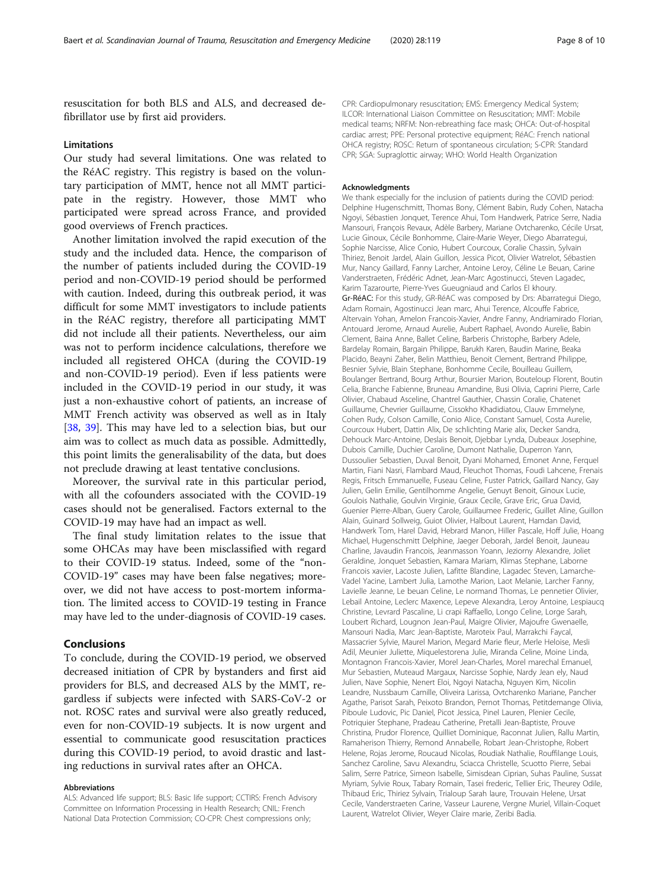resuscitation for both BLS and ALS, and decreased defibrillator use by first aid providers.

# Limitations

Our study had several limitations. One was related to the RéAC registry. This registry is based on the voluntary participation of MMT, hence not all MMT participate in the registry. However, those MMT who participated were spread across France, and provided good overviews of French practices.

Another limitation involved the rapid execution of the study and the included data. Hence, the comparison of the number of patients included during the COVID-19 period and non-COVID-19 period should be performed with caution. Indeed, during this outbreak period, it was difficult for some MMT investigators to include patients in the RéAC registry, therefore all participating MMT did not include all their patients. Nevertheless, our aim was not to perform incidence calculations, therefore we included all registered OHCA (during the COVID-19 and non-COVID-19 period). Even if less patients were included in the COVID-19 period in our study, it was just a non-exhaustive cohort of patients, an increase of MMT French activity was observed as well as in Italy [[38,](#page-9-0) [39\]](#page-9-0). This may have led to a selection bias, but our aim was to collect as much data as possible. Admittedly, this point limits the generalisability of the data, but does not preclude drawing at least tentative conclusions.

Moreover, the survival rate in this particular period, with all the cofounders associated with the COVID-19 cases should not be generalised. Factors external to the COVID-19 may have had an impact as well.

The final study limitation relates to the issue that some OHCAs may have been misclassified with regard to their COVID-19 status. Indeed, some of the "non-COVID-19" cases may have been false negatives; moreover, we did not have access to post-mortem information. The limited access to COVID-19 testing in France may have led to the under-diagnosis of COVID-19 cases.

# Conclusions

To conclude, during the COVID-19 period, we observed decreased initiation of CPR by bystanders and first aid providers for BLS, and decreased ALS by the MMT, regardless if subjects were infected with SARS-CoV-2 or not. ROSC rates and survival were also greatly reduced, even for non-COVID-19 subjects. It is now urgent and essential to communicate good resuscitation practices during this COVID-19 period, to avoid drastic and lasting reductions in survival rates after an OHCA.

#### Abbreviations

ALS: Advanced life support; BLS: Basic life support; CCTIRS: French Advisory Committee on Information Processing in Health Research; CNIL: French National Data Protection Commission; CO-CPR: Chest compressions only;

CPR: Cardiopulmonary resuscitation; EMS: Emergency Medical System; ILCOR: International Liaison Committee on Resuscitation; MMT: Mobile medical teams; NRFM: Non-rebreathing face mask; OHCA: Out-of-hospital cardiac arrest; PPE: Personal protective equipment; RéAC: French national OHCA registry; ROSC: Return of spontaneous circulation; S-CPR: Standard CPR; SGA: Supraglottic airway; WHO: World Health Organization

#### Acknowledgments

We thank especially for the inclusion of patients during the COVID period: Delphine Hugenschmitt, Thomas Bony, Clément Babin, Rudy Cohen, Natacha Ngoyi, Sébastien Jonquet, Terence Ahui, Tom Handwerk, Patrice Serre, Nadia Mansouri, François Revaux, Adèle Barbery, Mariane Ovtcharenko, Cécile Ursat, Lucie Ginoux, Cécile Bonhomme, Claire-Marie Weyer, Diego Abarrategui, Sophie Narcisse, Alice Conio, Hubert Courcoux, Coralie Chassin, Sylvain Thiriez, Benoit Jardel, Alain Guillon, Jessica Picot, Olivier Watrelot, Sébastien Mur, Nancy Gaillard, Fanny Larcher, Antoine Leroy, Céline Le Beuan, Carine Vanderstraeten, Frédéric Adnet, Jean-Marc Agostinucci, Steven Lagadec, Karim Tazarourte, Pierre-Yves Gueugniaud and Carlos El khoury. Gr-RéAC: For this study, GR-RéAC was composed by Drs: Abarrategui Diego, Adam Romain, Agostinucci Jean marc, Ahui Terence, Alcouffe Fabrice, Altervain Yohan, Amelon Francois-Xavier, Andre Fanny, Andriamirado Florian, Antouard Jerome, Arnaud Aurelie, Aubert Raphael, Avondo Aurelie, Babin Clement, Baina Anne, Ballet Celine, Barberis Christophe, Barbery Adele, Bardelay Romain, Bargain Philippe, Barukh Karen, Baudin Marine, Beaka Placido, Beayni Zaher, Belin Matthieu, Benoit Clement, Bertrand Philippe, Besnier Sylvie, Blain Stephane, Bonhomme Cecile, Bouilleau Guillem, Boulanger Bertrand, Bourg Arthur, Boursier Marion, Bouteloup Florent, Boutin Celia, Branche Fabienne, Bruneau Amandine, Busi Olivia, Caprini Pierre, Carle Olivier, Chabaud Asceline, Chantrel Gauthier, Chassin Coralie, Chatenet Guillaume, Chevrier Guillaume, Cissokho Khadidiatou, Clauw Emmelyne, Cohen Rudy, Colson Camille, Conio Alice, Constant Samuel, Costa Aurelie, Courcoux Hubert, Dattin Alix, De schlichting Marie alix, Decker Sandra, Dehouck Marc-Antoine, Deslais Benoit, Djebbar Lynda, Dubeaux Josephine, Dubois Camille, Duchier Caroline, Dumont Nathalie, Duperron Yann, Dussoulier Sebastien, Duval Benoit, Dyani Mohamed, Emonet Anne, Ferquel Martin, Fiani Nasri, Flambard Maud, Fleuchot Thomas, Foudi Lahcene, Frenais Regis, Fritsch Emmanuelle, Fuseau Celine, Fuster Patrick, Gaillard Nancy, Gay Julien, Gelin Emilie, Gentilhomme Angelie, Genuyt Benoit, Ginoux Lucie, Goulois Nathalie, Goulvin Virginie, Graux Cecile, Grave Eric, Grua David, Guenier Pierre-Alban, Guery Carole, Guillaumee Frederic, Guillet Aline, Guillon Alain, Guinard Sollweig, Guiot Olivier, Halbout Laurent, Hamdan David, Handwerk Tom, Harel David, Hebrard Manon, Hiller Pascale, Hoff Julie, Hoang Michael, Hugenschmitt Delphine, Jaeger Deborah, Jardel Benoit, Jauneau Charline, Javaudin Francois, Jeanmasson Yoann, Jeziorny Alexandre, Joliet Geraldine, Jonquet Sebastien, Kamara Mariam, Klimas Stephane, Laborne Francois xavier, Lacoste Julien, Lafitte Blandine, Lagadec Steven, Lamarche-Vadel Yacine, Lambert Julia, Lamothe Marion, Laot Melanie, Larcher Fanny, Lavielle Jeanne, Le beuan Celine, Le normand Thomas, Le pennetier Olivier, Lebail Antoine, Leclerc Maxence, Lepeve Alexandra, Leroy Antoine, Lespiaucq Christine, Levrard Pascaline, Li crapi Raffaello, Longo Celine, Lorge Sarah, Loubert Richard, Lougnon Jean-Paul, Maigre Olivier, Majoufre Gwenaelle, Mansouri Nadia, Marc Jean-Baptiste, Maroteix Paul, Marrakchi Faycal, Massacrier Sylvie, Maurel Marion, Megard Marie fleur, Merle Heloise, Mesli Adil, Meunier Juliette, Miquelestorena Julie, Miranda Celine, Moine Linda, Montagnon Francois-Xavier, Morel Jean-Charles, Morel marechal Emanuel, Mur Sebastien, Muteaud Margaux, Narcisse Sophie, Nardy Jean ely, Naud Julien, Nave Sophie, Nenert Eloi, Ngoyi Natacha, Nguyen Kim, Nicolin Leandre, Nussbaum Camille, Oliveira Larissa, Ovtcharenko Mariane, Pancher Agathe, Parisot Sarah, Peixoto Brandon, Pernot Thomas, Petitdemange Olivia, Piboule Ludovic, Pic Daniel, Picot Jessica, Pinel Lauren, Plenier Cecile, Potriquier Stephane, Pradeau Catherine, Pretalli Jean-Baptiste, Prouve Christina, Prudor Florence, Quilliet Dominique, Raconnat Julien, Rallu Martin, Ramaherison Thierry, Remond Annabelle, Robart Jean-Christophe, Robert Helene, Rojas Jerome, Roucaud Nicolas, Roudiak Nathalie, Rouffilange Louis, Sanchez Caroline, Savu Alexandru, Sciacca Christelle, Scuotto Pierre, Sebai Salim, Serre Patrice, Simeon Isabelle, Simisdean Ciprian, Suhas Pauline, Sussat Myriam, Sylvie Roux, Tabary Romain, Tasei frederic, Tellier Eric, Theurey Odile, Thibaud Eric, Thiriez Sylvain, Trialoup Sarah laure, Trouvain Helene, Ursat Cecile, Vanderstraeten Carine, Vasseur Laurene, Vergne Muriel, Villain-Coquet Laurent, Watrelot Olivier, Weyer Claire marie, Zeribi Badia.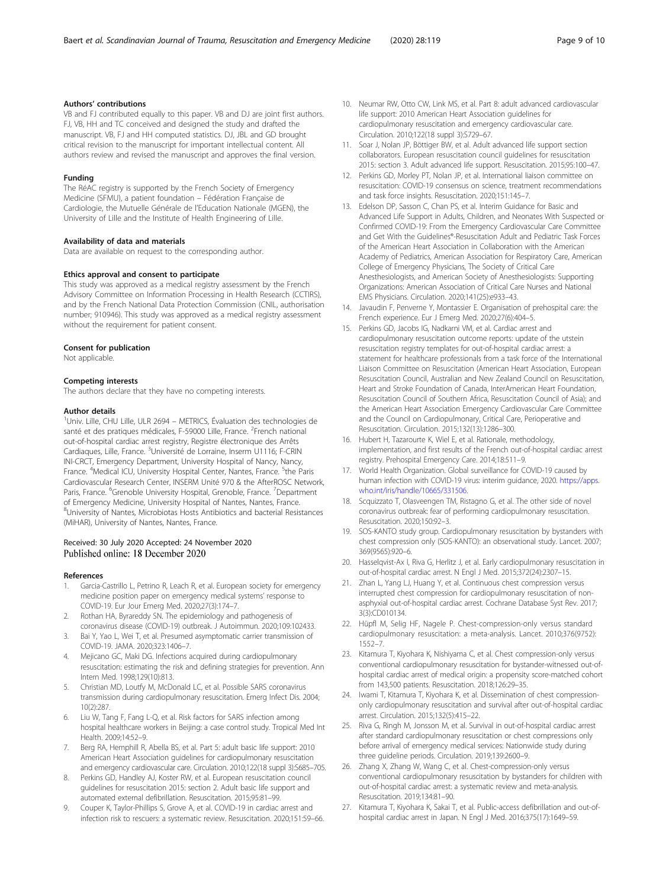# <span id="page-8-0"></span>Authors' contributions

VB and FJ contributed equally to this paper. VB and DJ are joint first authors. FJ, VB, HH and TC conceived and designed the study and drafted the manuscript. VB, FJ and HH computed statistics. DJ, JBL and GD brought critical revision to the manuscript for important intellectual content. All authors review and revised the manuscript and approves the final version.

#### Funding

The RéAC registry is supported by the French Society of Emergency Medicine (SFMU), a patient foundation – Fédération Française de Cardiologie, the Mutuelle Générale de l'Education Nationale (MGEN), the University of Lille and the Institute of Health Engineering of Lille.

#### Availability of data and materials

Data are available on request to the corresponding author.

#### Ethics approval and consent to participate

This study was approved as a medical registry assessment by the French Advisory Committee on Information Processing in Health Research (CCTIRS), and by the French National Data Protection Commission (CNIL, authorisation number; 910946). This study was approved as a medical registry assessment without the requirement for patient consent.

#### Consent for publication

Not applicable.

#### Competing interests

The authors declare that they have no competing interests.

#### Author details

<sup>1</sup>Univ. Lille, CHU Lille, ULR 2694 - METRICS, Évaluation des technologies de santé et des pratiques médicales, F-59000 Lille, France. <sup>2</sup>French national out-of-hospital cardiac arrest registry, Registre électronique des Arrêts Cardiaques, Lille, France. <sup>3</sup>Université de Lorraine, Inserm U1116; F-CRIN INI-CRCT, Emergency Department, University Hospital of Nancy, Nancy, France. <sup>4</sup>Medical ICU, University Hospital Center, Nantes, France. <sup>5</sup>the Paris Cardiovascular Research Center, INSERM Unité 970 & the AfterROSC Network, Paris, France. <sup>6</sup>Grenoble University Hospital, Grenoble, France. <sup>7</sup>Department of Emergency Medicine, University Hospital of Nantes, Nantes, France. 8 University of Nantes, Microbiotas Hosts Antibiotics and bacterial Resistances (MiHAR), University of Nantes, Nantes, France.

### Received: 30 July 2020 Accepted: 24 November 2020 Published online: 18 December 2020

#### References

- Garcia-Castrillo L, Petrino R, Leach R, et al. European society for emergency medicine position paper on emergency medical systems' response to COVID-19. Eur Jour Emerg Med. 2020;27(3):174–7.
- 2. Rothan HA, Byrareddy SN. The epidemiology and pathogenesis of coronavirus disease (COVID-19) outbreak. J Autoimmun. 2020;109:102433.
- 3. Bai Y, Yao L, Wei T, et al. Presumed asymptomatic carrier transmission of COVID-19. JAMA. 2020;323:1406–7.
- 4. Mejicano GC, Maki DG. Infections acquired during cardiopulmonary resuscitation: estimating the risk and defining strategies for prevention. Ann Intern Med. 1998;129(10):813.
- 5. Christian MD, Loutfy M, McDonald LC, et al. Possible SARS coronavirus transmission during cardiopulmonary resuscitation. Emerg Infect Dis. 2004; 10(2):287.
- 6. Liu W, Tang F, Fang L-Q, et al. Risk factors for SARS infection among hospital healthcare workers in Beijing: a case control study. Tropical Med Int Health. 2009;14:52–9.
- 7. Berg RA, Hemphill R, Abella BS, et al. Part 5: adult basic life support: 2010 American Heart Association guidelines for cardiopulmonary resuscitation and emergency cardiovascular care. Circulation. 2010;122(18 suppl 3):S685–705.
- Perkins GD, Handley AJ, Koster RW, et al. European resuscitation council guidelines for resuscitation 2015: section 2. Adult basic life support and automated external defibrillation. Resuscitation. 2015;95:81–99.
- 9. Couper K, Taylor-Phillips S, Grove A, et al. COVID-19 in cardiac arrest and infection risk to rescuers: a systematic review. Resuscitation. 2020;151:59–66.
- 10. Neumar RW, Otto CW, Link MS, et al. Part 8: adult advanced cardiovascular life support: 2010 American Heart Association guidelines for cardiopulmonary resuscitation and emergency cardiovascular care. Circulation. 2010;122(18 suppl 3):S729–67.
- 11. Soar J, Nolan JP, Böttiger BW, et al. Adult advanced life support section collaborators. European resuscitation council guidelines for resuscitation 2015: section 3. Adult advanced life support. Resuscitation. 2015;95:100–47.
- 12. Perkins GD, Morley PT, Nolan JP, et al. International liaison committee on resuscitation: COVID-19 consensus on science, treatment recommendations and task force insights. Resuscitation. 2020;151:145–7.
- 13. Edelson DP, Sasson C, Chan PS, et al. Interim Guidance for Basic and Advanced Life Support in Adults, Children, and Neonates With Suspected or Confirmed COVID-19: From the Emergency Cardiovascular Care Committee and Get With the Guidelines®-Resuscitation Adult and Pediatric Task Forces of the American Heart Association in Collaboration with the American Academy of Pediatrics, American Association for Respiratory Care, American College of Emergency Physicians, The Society of Critical Care Anesthesiologists, and American Society of Anesthesiologists: Supporting Organizations: American Association of Critical Care Nurses and National EMS Physicians. Circulation. 2020;141(25):e933–43.
- 14. Javaudin F, Penverne Y, Montassier E. Organisation of prehospital care: the French experience. Eur J Emerg Med. 2020;27(6):404–5.
- 15. Perkins GD, Jacobs IG, Nadkarni VM, et al. Cardiac arrest and cardiopulmonary resuscitation outcome reports: update of the utstein resuscitation registry templates for out-of-hospital cardiac arrest: a statement for healthcare professionals from a task force of the International Liaison Committee on Resuscitation (American Heart Association, European Resuscitation Council, Australian and New Zealand Council on Resuscitation, Heart and Stroke Foundation of Canada, InterAmerican Heart Foundation, Resuscitation Council of Southern Africa, Resuscitation Council of Asia); and the American Heart Association Emergency Cardiovascular Care Committee and the Council on Cardiopulmonary, Critical Care, Perioperative and Resuscitation. Circulation. 2015;132(13):1286–300.
- 16. Hubert H, Tazarourte K, Wiel E, et al. Rationale, methodology, implementation, and first results of the French out-of-hospital cardiac arrest registry. Prehospital Emergency Care. 2014;18:511–9.
- 17. World Health Organization. Global surveillance for COVID-19 caused by human infection with COVID-19 virus: interim guidance, 2020. [https://apps.](https://apps.who.int/iris/handle/10665/331506) [who.int/iris/handle/10665/331506.](https://apps.who.int/iris/handle/10665/331506)
- 18. Scquizzato T, Olasveengen TM, Ristagno G, et al. The other side of novel coronavirus outbreak: fear of performing cardiopulmonary resuscitation. Resuscitation. 2020;150:92–3.
- 19. SOS-KANTO study group. Cardiopulmonary resuscitation by bystanders with chest compression only (SOS-KANTO): an observational study. Lancet. 2007; 369(9565):920–6.
- 20. Hasselqvist-Ax I, Riva G, Herlitz J, et al. Early cardiopulmonary resuscitation in out-of-hospital cardiac arrest. N Engl J Med. 2015;372(24):2307–15.
- 21. Zhan L, Yang LJ, Huang Y, et al. Continuous chest compression versus interrupted chest compression for cardiopulmonary resuscitation of nonasphyxial out-of-hospital cardiac arrest. Cochrane Database Syst Rev. 2017; 3(3):CD010134.
- 22. Hüpfl M, Selig HF, Nagele P. Chest-compression-only versus standard cardiopulmonary resuscitation: a meta-analysis. Lancet. 2010;376(9752): 1552–7.
- 23. Kitamura T, Kiyohara K, Nishiyama C, et al. Chest compression-only versus conventional cardiopulmonary resuscitation for bystander-witnessed out-ofhospital cardiac arrest of medical origin: a propensity score-matched cohort from 143,500 patients. Resuscitation. 2018;126:29–35.
- 24. Iwami T, Kitamura T, Kiyohara K, et al. Dissemination of chest compressiononly cardiopulmonary resuscitation and survival after out-of-hospital cardiac arrest. Circulation. 2015;132(5):415–22.
- 25. Riva G, Ringh M, Jonsson M, et al. Survival in out-of-hospital cardiac arrest after standard cardiopulmonary resuscitation or chest compressions only before arrival of emergency medical services: Nationwide study during three guideline periods. Circulation. 2019;139:2600–9.
- 26. Zhang X, Zhang W, Wang C, et al. Chest-compression-only versus conventional cardiopulmonary resuscitation by bystanders for children with out-of-hospital cardiac arrest: a systematic review and meta-analysis. Resuscitation. 2019;134:81–90.
- 27. Kitamura T, Kiyohara K, Sakai T, et al. Public-access defibrillation and out-ofhospital cardiac arrest in Japan. N Engl J Med. 2016;375(17):1649–59.